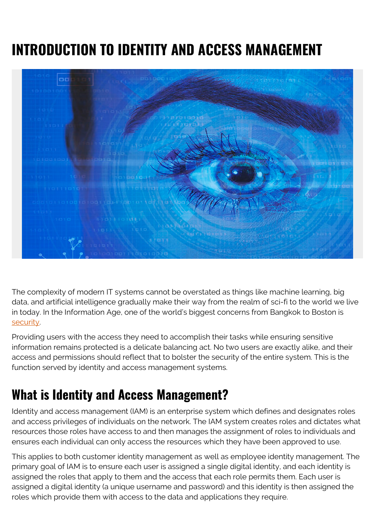# **INTRODUCTION TO IDENTITY AND ACCESS MANAGEMENT**



The complexity of modern IT systems cannot be overstated as things like machine learning, big data, and artificial intelligence gradually make their way from the realm of sci-fi to the world we live in today. In the Information Age, one of the world's biggest concerns from Bangkok to Boston is [security.](https://blogs.bmc.com/blogs/security-vulnerability-vs-threat-vs-risk-whats-difference/)

Providing users with the access they need to accomplish their tasks while ensuring sensitive information remains protected is a delicate balancing act. No two users are exactly alike, and their access and permissions should reflect that to bolster the security of the entire system. This is the function served by identity and access management systems.

#### **What is Identity and Access Management?**

Identity and access management (IAM) is an enterprise system which defines and designates roles and access privileges of individuals on the network. The IAM system creates roles and dictates what resources those roles have access to and then manages the assignment of roles to individuals and ensures each individual can only access the resources which they have been approved to use.

This applies to both customer identity management as well as employee identity management. The primary goal of IAM is to ensure each user is assigned a single digital identity, and each identity is assigned the roles that apply to them and the access that each role permits them. Each user is assigned a digital identity (a unique username and password) and this identity is then assigned the roles which provide them with access to the data and applications they require.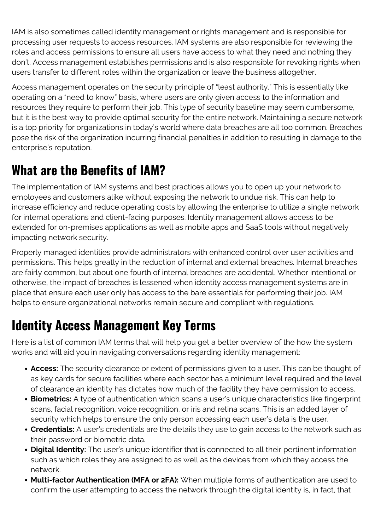IAM is also sometimes called identity management or rights management and is responsible for processing user requests to access resources. IAM systems are also responsible for reviewing the roles and access permissions to ensure all users have access to what they need and nothing they don't. Access management establishes permissions and is also responsible for revoking rights when users transfer to different roles within the organization or leave the business altogether.

Access management operates on the security principle of "least authority." This is essentially like operating on a "need to know" basis, where users are only given access to the information and resources they require to perform their job. This type of security baseline may seem cumbersome, but it is the best way to provide optimal security for the entire network. Maintaining a secure network is a top priority for organizations in today's world where data breaches are all too common. Breaches pose the risk of the organization incurring financial penalties in addition to resulting in damage to the enterprise's reputation.

#### **What are the Benefits of IAM?**

The implementation of IAM systems and best practices allows you to open up your network to employees and customers alike without exposing the network to undue risk. This can help to increase efficiency and reduce operating costs by allowing the enterprise to utilize a single network for internal operations and client-facing purposes. Identity management allows access to be extended for on-premises applications as well as mobile apps and SaaS tools without negatively impacting network security.

Properly managed identities provide administrators with enhanced control over user activities and permissions. This helps greatly in the reduction of internal and external breaches. Internal breaches are fairly common, but about one fourth of internal breaches are accidental. Whether intentional or otherwise, the impact of breaches is lessened when identity access management systems are in place that ensure each user only has access to the bare essentials for performing their job. IAM helps to ensure organizational networks remain secure and compliant with regulations.

## **Identity Access Management Key Terms**

Here is a list of common IAM terms that will help you get a better overview of the how the system works and will aid you in navigating conversations regarding identity management:

- **Access:** The security clearance or extent of permissions given to a user. This can be thought of as key cards for secure facilities where each sector has a minimum level required and the level of clearance an identity has dictates how much of the facility they have permission to access.
- **Biometrics:** A type of authentication which scans a user's unique characteristics like fingerprint scans, facial recognition, voice recognition, or iris and retina scans. This is an added layer of security which helps to ensure the only person accessing each user's data is the user.
- **Credentials:** A user's credentials are the details they use to gain access to the network such as their password or biometric data.
- **Digital Identity:** The user's unique identifier that is connected to all their pertinent information such as which roles they are assigned to as well as the devices from which they access the network.
- **Multi-factor Authentication (MFA or 2FA):** When multiple forms of authentication are used to confirm the user attempting to access the network through the digital identity is, in fact, that